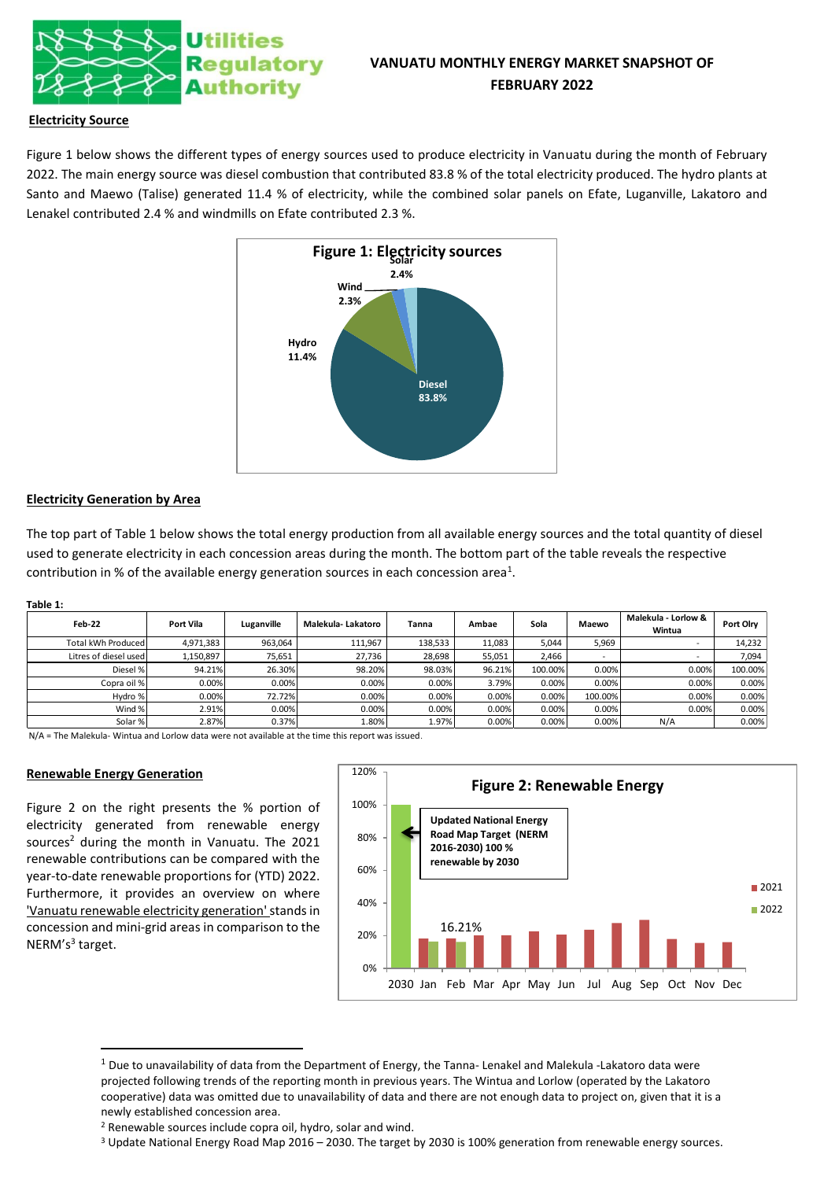

# **VANUATU MONTHLY ENERGY MARKET SNAPSHOT OF FEBRUARY 2022**

## **Electricity Source**

Figure 1 below shows the different types of energy sources used to produce electricity in Vanuatu during the month of February 2022. The main energy source was diesel combustion that contributed 83.8 % of the total electricity produced. The hydro plants at Santo and Maewo (Talise) generated 11.4 % of electricity, while the combined solar panels on Efate, Luganville, Lakatoro and Lenakel contributed 2.4 % and windmills on Efate contributed 2.3 %.



## **Electricity Generation by Area**

The top part of Table 1 below shows the total energy production from all available energy sources and the total quantity of diesel used to generate electricity in each concession areas during the month. The bottom part of the table reveals the respective contribution in % of the available energy generation sources in each concession area<sup>1</sup>.

#### **Table 1:**

| Feb-22                | Port Vila | Luganville | Malekula- Lakatoro | Tanna   | Ambae  | Sola    | Maewo                    | Malekula - Lorlow &<br>Wintua | Port Olry |  |  |
|-----------------------|-----------|------------|--------------------|---------|--------|---------|--------------------------|-------------------------------|-----------|--|--|
| Total kWh Produced    | 4,971,383 | 963,064    | 111,967            | 138,533 | 11.083 | 5.044   | 5,969                    |                               | 14,232    |  |  |
| Litres of diesel used | 1,150,897 | 75,651     | 27,736             | 28,698  | 55,051 | 2.466   | $\overline{\phantom{0}}$ |                               | 7,094     |  |  |
| Diesel %              | 94.21%    | 26.30%     | 98.20%             | 98.03%  | 96.21% | 100.00% | 0.00%                    | 0.00%                         | 100.00%   |  |  |
| Copra oil %           | 0.00%     | 0.00%      | 0.00%              | 0.00%   | 3.79%  | 0.00%   | 0.00%                    | 0.00%                         | 0.00%     |  |  |
| Hydro %               | 0.00%     | 72.72%     | 0.00%              | 0.00%   | 0.00%  | 0.00%   | 100.00%                  | 0.00%                         | 0.00%     |  |  |
| Wind %                | 2.91%     | 0.00%      | 0.00%              | 0.00%   | 0.00%  | 0.00%   | 0.00%                    | 0.00%                         | 0.00%     |  |  |
| Solar %               | 2.87%     | 0.37%      | 1.80%              | 1.97%   | 0.00%  | 0.00%   | 0.00%                    | N/A                           | 0.00%     |  |  |

N/A = The Malekula- Wintua and Lorlow data were not available at the time this report was issued.

### **Renewable Energy Generation**

Figure 2 on the right presents the % portion of electricity generated from renewable energy sources<sup>2</sup> during the month in Vanuatu. The 2021 renewable contributions can be compared with the year-to-date renewable proportions for (YTD) 2022. Furthermore, it provides an overview on where 'Vanuatu renewable electricity generation'stands in concession and mini-grid areas in comparison to the NERM's<sup>3</sup> target.



 $1$  Due to unavailability of data from the Department of Energy, the Tanna- Lenakel and Malekula -Lakatoro data were projected following trends of the reporting month in previous years. The Wintua and Lorlow (operated by the Lakatoro cooperative) data was omitted due to unavailability of data and there are not enough data to project on, given that it is a newly established concession area.

<sup>3</sup> Update National Energy Road Map 2016 – 2030. The target by 2030 is 100% generation from renewable energy sources.

<sup>2</sup> Renewable sources include copra oil, hydro, solar and wind.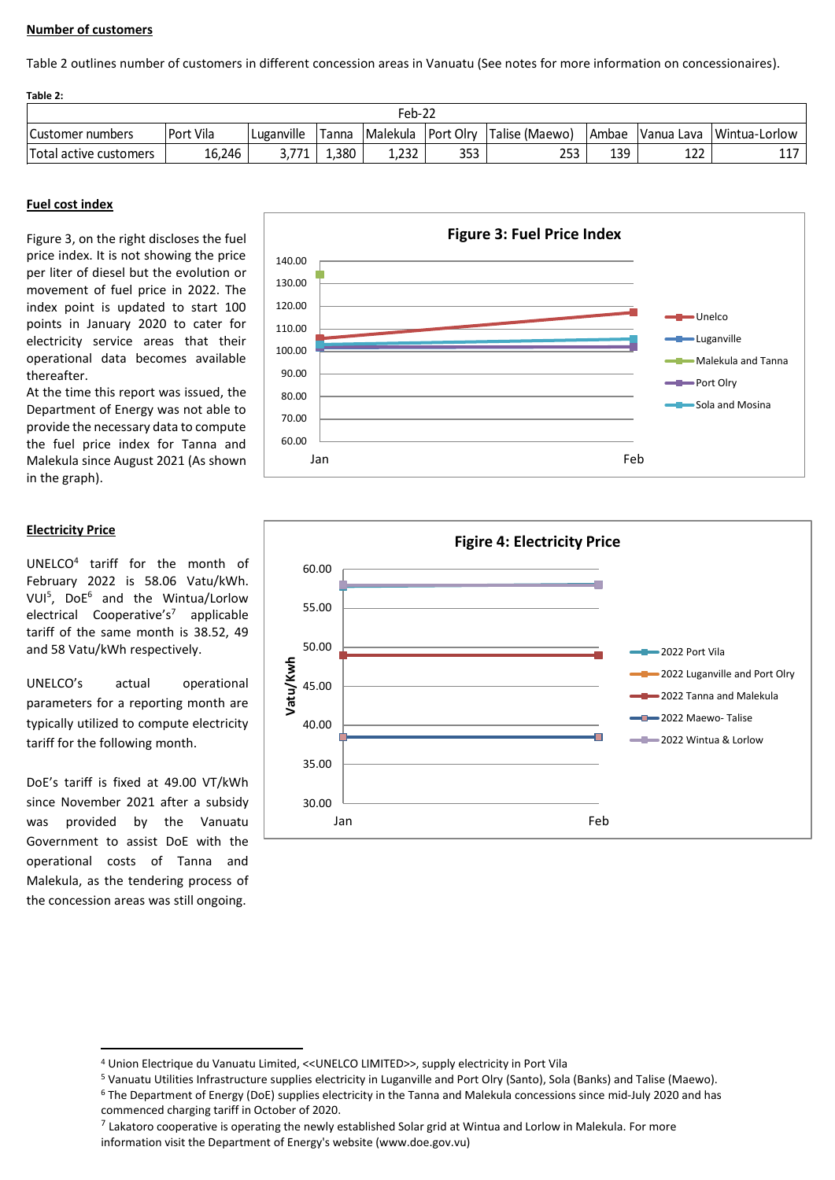## **Number of customers**

Table 2 outlines number of customers in different concession areas in Vanuatu (See notes for more information on concessionaires).

| Table 2:                 |           |            |       |                    |     |                |       |     |                          |  |
|--------------------------|-----------|------------|-------|--------------------|-----|----------------|-------|-----|--------------------------|--|
| Feb-22                   |           |            |       |                    |     |                |       |     |                          |  |
| <b>ICustomer numbers</b> | Port Vila | Luganville | Tanna | Malekula Port Olry |     | Talise (Maewo) | Ambae |     | Vanua Lava Wintua-Lorlow |  |
| Total active customers   | 16,246    | 3.771      | 1,380 | 1,232              | 353 | 253            | 139   | 122 |                          |  |

## **Fuel cost index**

Figure 3, on the right discloses the fuel price index. It is not showing the price per liter of diesel but the evolution or movement of fuel price in 2022. The index point is updated to start 100 points in January 2020 to cater for electricity service areas that their operational data becomes available thereafter.

At the time this report was issued, the Department of Energy was not able to provide the necessary data to compute the fuel price index for Tanna and Malekula since August 2021 (As shown in the graph).

## **Electricity Price**

UNELCO<sup>4</sup> tariff for the month of February 2022 is 58.06 Vatu/kWh. VUI<sup>5</sup> , DoE<sup>6</sup> and the Wintua/Lorlow electrical Cooperative's<sup>7</sup> applicable tariff of the same month is 38.52, 49 and 58 Vatu/kWh respectively.

UNELCO's actual operational parameters for a reporting month are typically utilized to compute electricity tariff for the following month.

DoE's tariff is fixed at 49.00 VT/kWh since November 2021 after a subsidy was provided by the Vanuatu Government to assist DoE with the operational costs of Tanna and Malekula, as the tendering process of the concession areas was still ongoing.





<sup>4</sup> Union Electrique du Vanuatu Limited, <<UNELCO LIMITED>>, supply electricity in Port Vila

<sup>5</sup> Vanuatu Utilities Infrastructure supplies electricity in Luganville and Port Olry (Santo), Sola (Banks) and Talise (Maewo).

<sup>6</sup> The Department of Energy (DoE) supplies electricity in the Tanna and Malekula concessions since mid-July 2020 and has commenced charging tariff in October of 2020.

 $^7$  Lakatoro cooperative is operating the newly established Solar grid at Wintua and Lorlow in Malekula. For more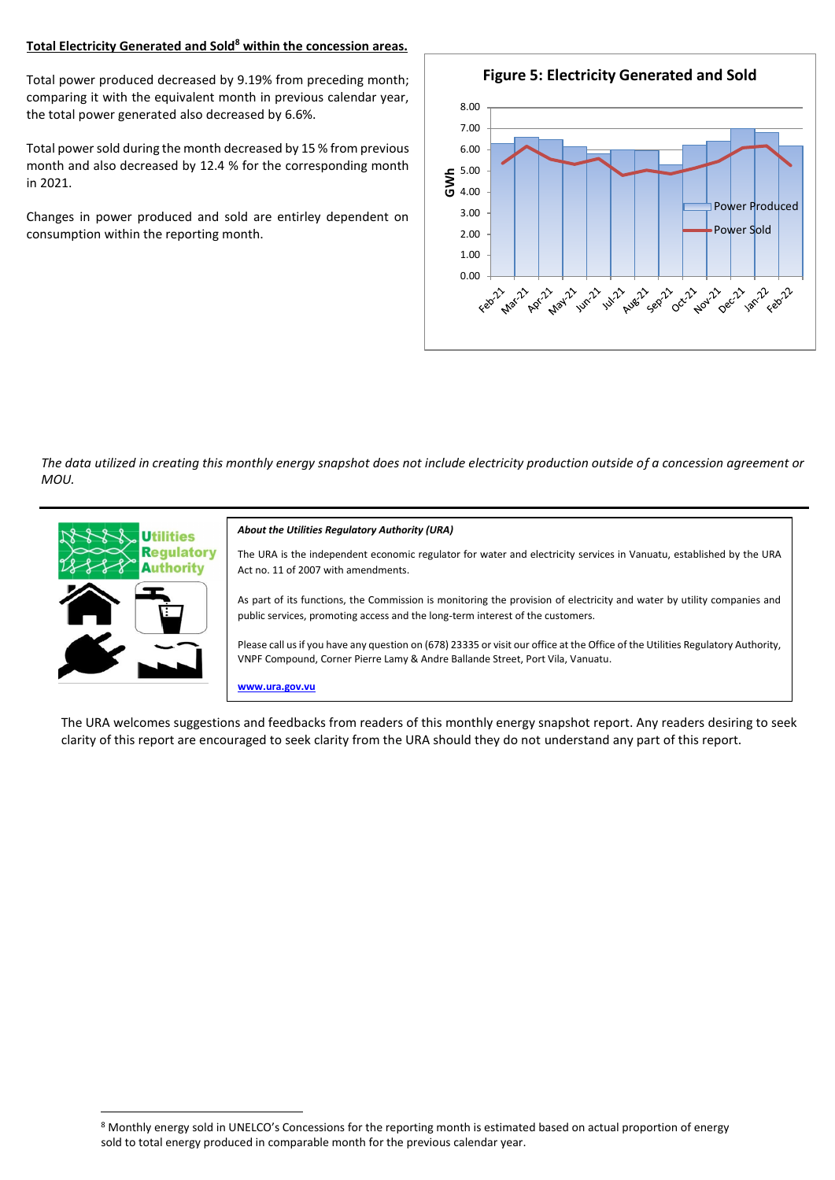## **Total Electricity Generated and Sold<sup>8</sup> within the concession areas.**

Total power produced decreased by 9.19% from preceding month; comparing it with the equivalent month in previous calendar year, the total power generated also decreased by 6.6%.

Total power sold during the month decreased by 15 % from previous month and also decreased by 12.4 % for the corresponding month in 2021.

Changes in power produced and sold are entirley dependent on consumption within the reporting month.



*The data utilized in creating this monthly energy snapshot does not include electricity production outside of a concession agreement or MOU.*



The URA welcomes suggestions and feedbacks from readers of this monthly energy snapshot report. Any readers desiring to seek clarity of this report are encouraged to seek clarity from the URA should they do not understand any part of this report.

<sup>8</sup> Monthly energy sold in UNELCO's Concessions for the reporting month is estimated based on actual proportion of energy sold to total energy produced in comparable month for the previous calendar year.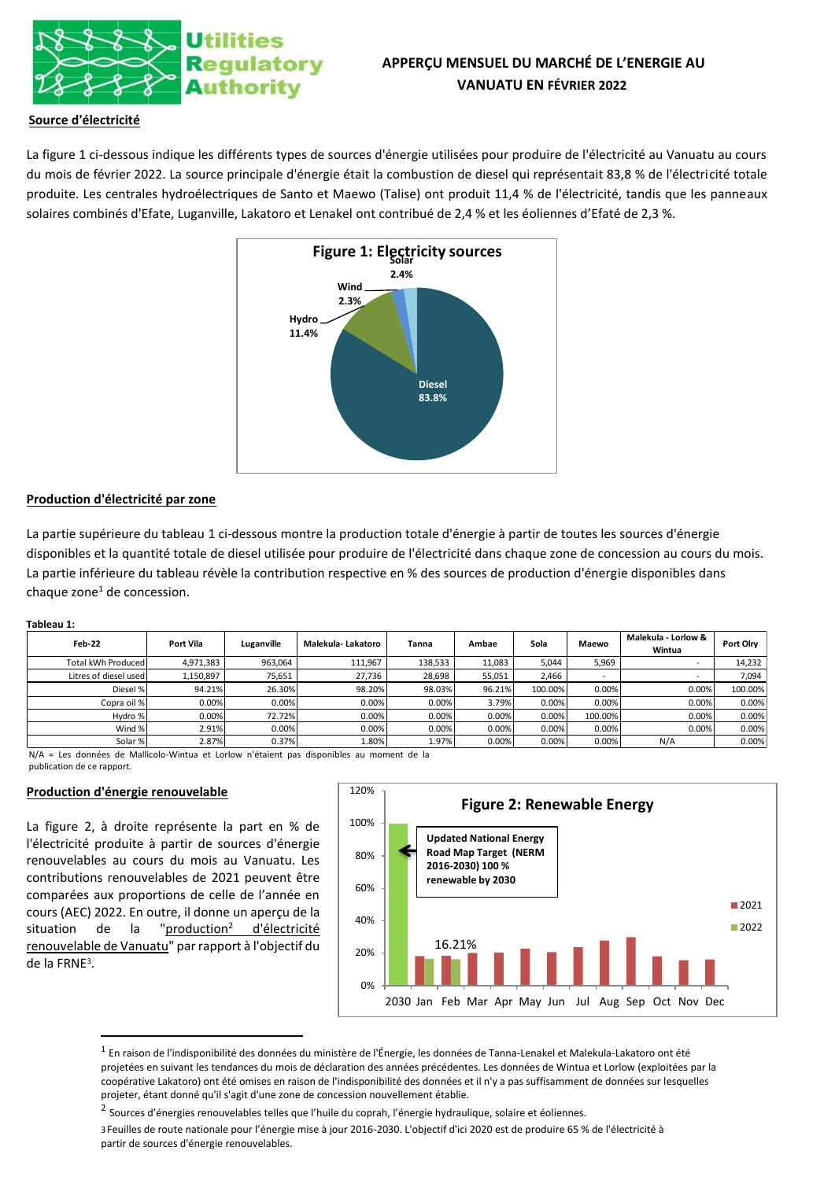

# **APPERÇU MENSUEL DU MARCHÉ DE L'ENERGIE AU VANUATU EN FÉVRIER 2022**

## **Source d'électricité**

La figure 1 ci-dessous indique les différents types de sources d'énergie utilisées pour produire de l'électricité au Vanuatu au cours du mois de février 2022. La source principale d'énergie était la combustion de diesel qui représentait 83,8 % de l'électricité totale produite. Les centrales hydroélectriques de Santo et Maewo (Talise) ont produit 11,4 % de l'électricité, tandis que les panneaux solaires combinés d'Efate, Luganville, Lakatoro et Lenakel ont contribué de 2,4 % et les éoliennes d'Efaté de 2,3 %.



## **Production d'électricité par zone**

La partie supérieure du tableau 1 ci-dessous montre la production totale d'énergie à partir de toutes les sources d'énergie disponibles et la quantité totale de diesel utilisée pour produire de l'électricité dans chaque zone de concession au cours du mois. La partie inférieure du tableau révèle la contribution respective en % des sources de production d'énergie disponibles dans chaque zone<sup>1</sup> de concession.

#### **Tableau 1:**

| Feb-22                | Port Vila | Luganville | Malekula- Lakatoro | Tanna   | Ambae  | Sola    | Maewo   | Malekula - Lorlow &<br>Wintua | Port Olrv |
|-----------------------|-----------|------------|--------------------|---------|--------|---------|---------|-------------------------------|-----------|
| Total kWh Produced    | 4,971,383 | 963,064    | 111,967            | 138,533 | 11.083 | 5.044   | 5.969   |                               | 14,232    |
| Litres of diesel used | 1,150,897 | 75.651     | 27.736             | 28.698  | 55,051 | 2.466   |         | $\overline{\phantom{a}}$      | 7.094     |
| Diesel %              | 94.21%    | 26.30%     | 98.20%             | 98.03%  | 96.21% | 100.00% | 0.00%   | 0.00%                         | 100.00%   |
| Copra oil %           | 0.00%     | 0.00%      | 0.00%              | 0.00%   | 3.79%  | 0.00%   | 0.00%   | 0.00%                         | 0.00%     |
| Hydro %               | 0.00%     | 72.72%     | 0.00%              | 0.00%   | 0.00%  | 0.00%   | 100.00% | 0.00%                         | 0.00%     |
| Wind %                | 2.91%     | 0.00%      | 0.00%              | 0.00%   | 0.00%  | 0.00%   | 0.00%   | 0.00%                         | 0.00%     |
| Solar %               | 2.87%     | 0.37%      | 1.80%              | 1.97%   | 0.00%  | 0.00%   | 0.00%   | N/A                           | 0.00%     |

N/A = Les données de Mallicolo-Wintua et Lorlow n'étaient pas disponibles au moment de la publication de ce rapport.

#### **Production d'énergie renouvelable**

La figure 2, à droite représente la part en % de l'électricité produite à partir de sources d'énergie renouvelables au cours du mois au Vanuatu. Les contributions renouvelables de 2021 peuvent être comparées aux proportions de celle de l'année en cours (AEC) 2022. En outre, il donne un aperçu de la situation de la "production<sup>2</sup> d'électricité renouvelable de Vanuatu" par rapport à l'objectif du de la FRNE<sup>3</sup> .



 $^{\rm 1}$  En raison de l'indisponibilité des données du ministère de l'Énergie, les données de Tanna-Lenakel et Malekula-Lakatoro ont été projetées en suivant les tendances du mois de déclaration des années précédentes. Les données de Wintua et Lorlow (exploitées par la coopérative Lakatoro) ont été omises en raison de l'indisponibilité des données et il n'y a pas suffisamment de données sur lesquelles projeter, étant donné qu'il s'agit d'une zone de concession nouvellement établie.

3Feuilles de route nationale pour l'énergie mise à jour 2016-2030. L'objectif d'ici 2020 est de produire 65 % de l'électricité à partir de sources d'énergie renouvelables.

<sup>&</sup>lt;sup>2</sup> Sources d'énergies renouvelables telles que l'huile du coprah, l'énergie hydraulique, solaire et éoliennes.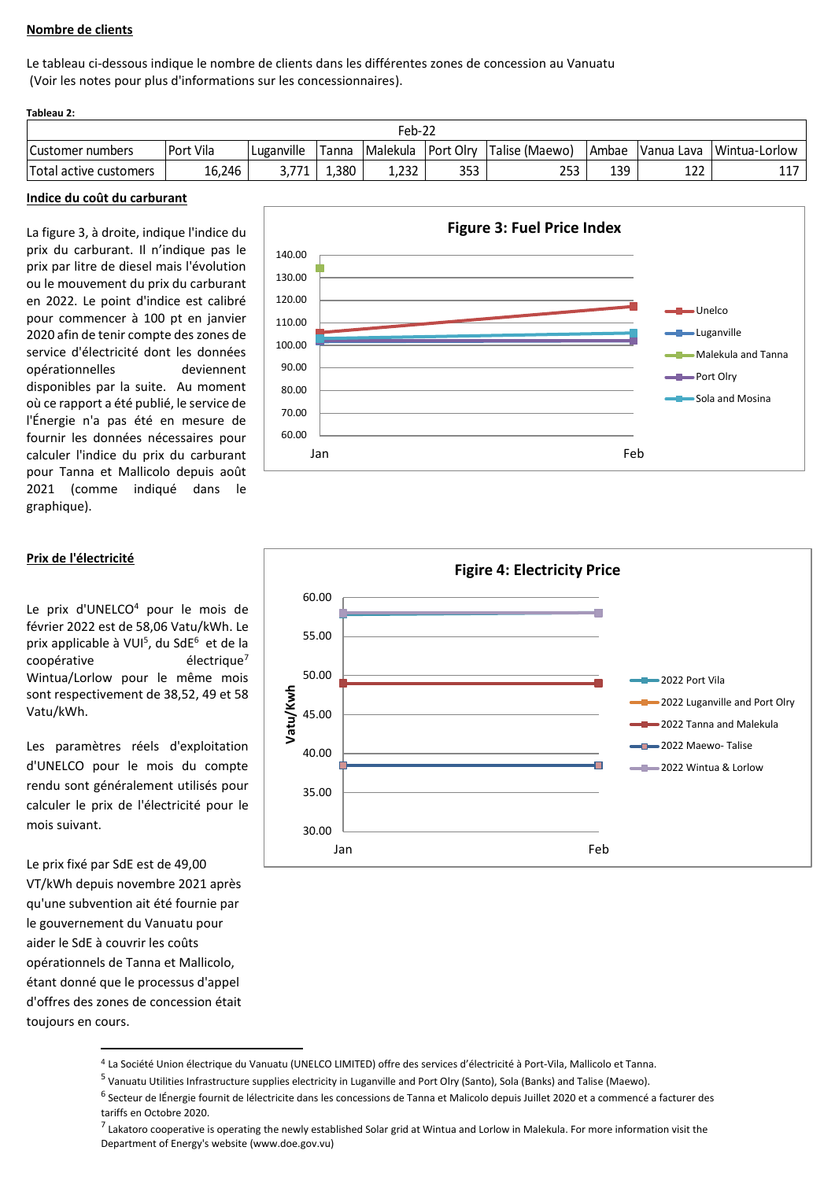## **Nombre de clients**

Le tableau ci-dessous indique le nombre de clients dans les différentes zones de concession au Vanuatu (Voir les notes pour plus d'informations sur les concessionnaires).

| Tableau 2:             |           |            |       |          |                  |                |       |            |               |  |
|------------------------|-----------|------------|-------|----------|------------------|----------------|-------|------------|---------------|--|
| Feb-22                 |           |            |       |          |                  |                |       |            |               |  |
| Customer numbers       | Port Vila | Luganville | Tanna | Malekula | <b>Port Olry</b> | Talise (Maewo) | Ambae | Vanua Lava | Wintua-Lorlow |  |
| Total active customers | 16.246    | 771        | .380  | 1.232    | 353              | 253            | 139   | 122        | --            |  |

#### **Indice du coût du carburant**

La figure 3, à droite, indique l'indice du prix du carburant. Il n'indique pas le prix par litre de diesel mais l'évolution ou le mouvement du prix du carburant en 2022. Le point d'indice est calibré pour commencer à 100 pt en janvier 2020 afin de tenir compte des zones de service d'électricité dont les données opérationnelles deviennent disponibles par la suite. Au moment où ce rapport a été publié, le service de l'Énergie n'a pas été en mesure de fournir les données nécessaires pour calculer l'indice du prix du carburant pour Tanna et Mallicolo depuis août 2021 (comme indiqué dans le graphique).





Le prix d'UNELCO<sup>4</sup> pour le mois de février 2022 est de 58,06 Vatu/kWh. Le prix applicable à VUI<sup>5</sup>, du SdE<sup>6</sup> et de la coopérative électrique<sup>7</sup> Wintua/Lorlow pour le même mois sont respectivement de 38,52, 49 et 58 Vatu/kWh.

Les paramètres réels d'exploitation d'UNELCO pour le mois du compte rendu sont généralement utilisés pour calculer le prix de l'électricité pour le mois suivant.

Le prix fixé par SdE est de 49,00 VT/kWh depuis novembre 2021 après qu'une subvention ait été fournie par le gouvernement du Vanuatu pour aider le SdE à couvrir les coûts opérationnels de Tanna et Mallicolo, étant donné que le processus d'appel d'offres des zones de concession était toujours en cours.



## **Prix de l'électricité**



<sup>4</sup> La Société Union électrique du Vanuatu (UNELCO LIMITED) offre des services d'électricité à Port-Vila, Mallicolo et Tanna.

<sup>&</sup>lt;sup>5</sup> Vanuatu Utilities Infrastructure supplies electricity in Luganville and Port Olry (Santo), Sola (Banks) and Talise (Maewo).

<sup>&</sup>lt;sup>6</sup> Secteur de lÉnergie fournit de lélectricite dans les concessions de Tanna et Malicolo depuis Juillet 2020 et a commencé a facturer des tariffs en Octobre 2020.

<sup>&</sup>lt;sup>7</sup> Lakatoro cooperative is operating the newly established Solar grid at Wintua and Lorlow in Malekula. For more information visit the Department of Energy's website (www.doe.gov.vu)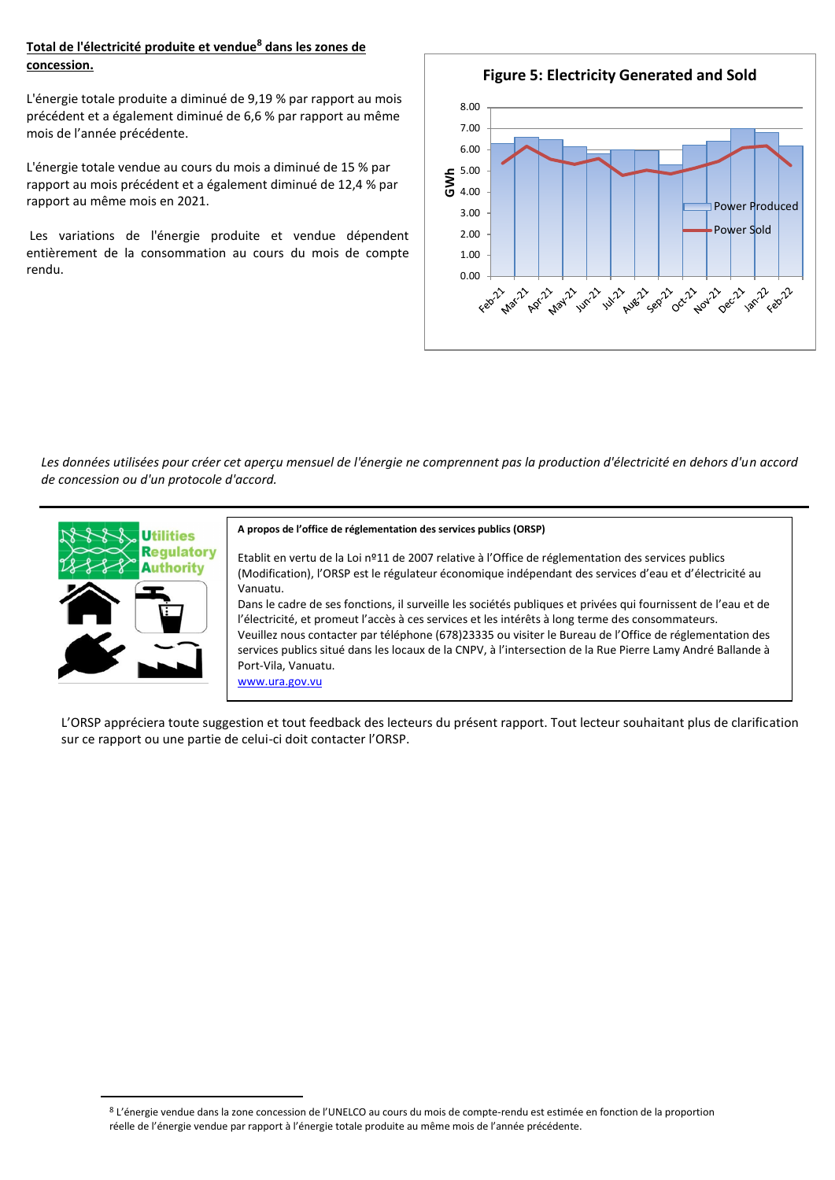## **Total de l'électricité produite et vendue<sup>8</sup> dans les zones de concession.**

L'énergie totale produite a diminué de 9,19 % par rapport au mois précédent et a également diminué de 6,6 % par rapport au même mois de l'année précédente.

L'énergie totale vendue au cours du mois a diminué de 15 % par rapport au mois précédent et a également diminué de 12,4 % par rapport au même mois en 2021.

Les variations de l'énergie produite et vendue dépendent entièrement de la consommation au cours du mois de compte rendu.



*Les données utilisées pour créer cet aperçu mensuel de l'énergie ne comprennent pas la production d'électricité en dehors d'un accord de concession ou d'un protocole d'accord.* 



#### **A propos de l'office de réglementation des services publics (ORSP)**

Etablit en vertu de la Loi nº11 de 2007 relative à l'Office de réglementation des services publics (Modification), l'ORSP est le régulateur économique indépendant des services d'eau et d'électricité au Vanuatu.

Dans le cadre de ses fonctions, il surveille les sociétés publiques et privées qui fournissent de l'eau et de l'électricité, et promeut l'accès à ces services et les intérêts à long terme des consommateurs. Veuillez nous contacter par téléphone (678)23335 ou visiter le Bureau de l'Office de réglementation des services publics situé dans les locaux de la CNPV, à l'intersection de la Rue Pierre Lamy André Ballande à Port-Vila, Vanuatu. [www.ura.gov.vu](http://www.ura.gov.vu/) 

L'ORSP appréciera toute suggestion et tout feedback des lecteurs du présent rapport. Tout lecteur souhaitant plus de clarification sur ce rapport ou une partie de celui-ci doit contacter l'ORSP.

<sup>8</sup> L'énergie vendue dans la zone concession de l'UNELCO au cours du mois de compte-rendu est estimée en fonction de la proportion réelle de l'énergie vendue par rapport à l'énergie totale produite au même mois de l'année précédente.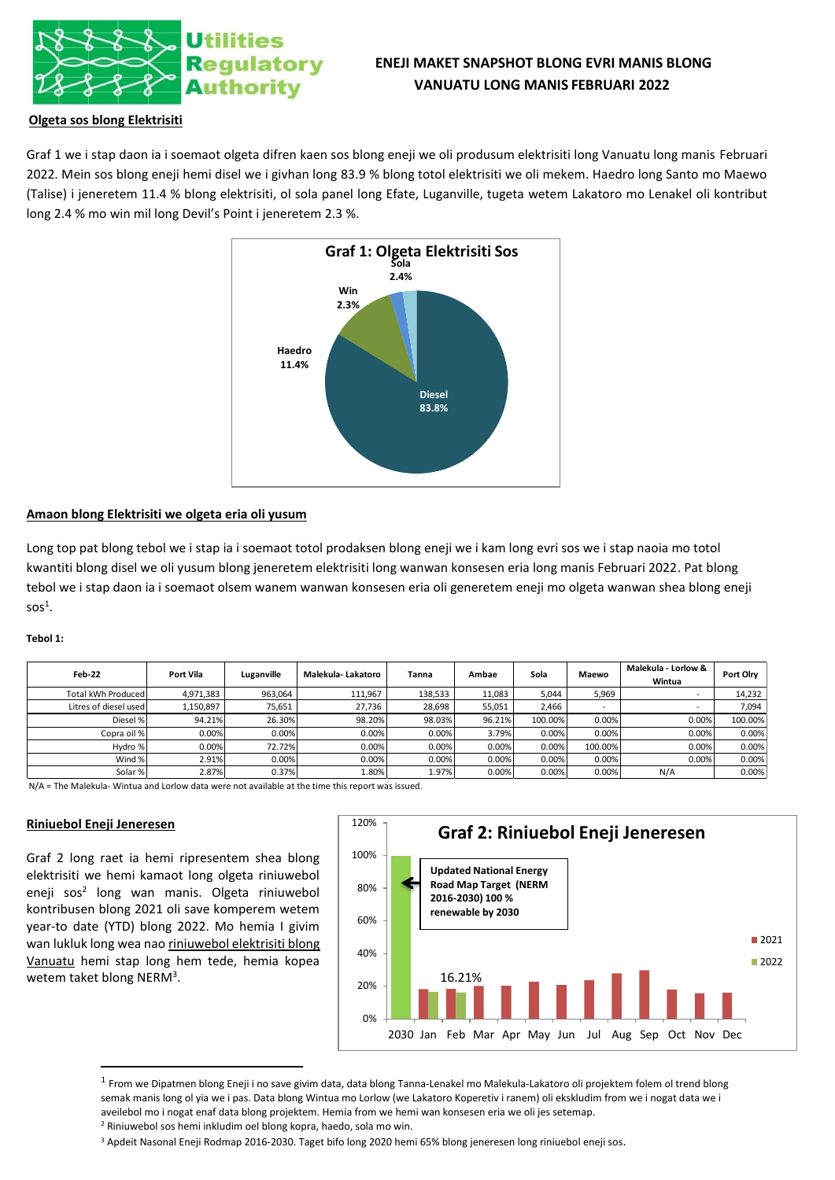

# **ENEJI MAKET SNAPSHOT BLONG EVRI MANIS BLONG VANUATU LONG MANIS FEBRUARI 2022**

## **Olgeta sos blong Elektrisiti**

Graf 1 we i stap daon ia i soemaot olgeta difren kaen sos blong eneji we oli produsum elektrisiti long Vanuatu long manis Februari 2022. Mein sos blong eneji hemi disel we i givhan long 83.9 % blong totol elektrisiti we oli mekem. Haedro long Santo mo Maewo (Talise) i jeneretem 11.4 % blong elektrisiti, ol sola panel long Efate, Luganville, tugeta wetem Lakatoro mo Lenakel oli kontribut long 2.4 % mo win mil long Devil's Point i jeneretem 2.3 %.



## **Amaon blong Elektrisiti we olgeta eria oli yusum**

Long top pat blong tebol we i stap ia i soemaot totol prodaksen blong eneji we i kam long evri sos we i stap naoia mo totol kwantiti blong disel we oli yusum blong jeneretem elektrisiti long wanwan konsesen eria long manis Februari 2022. Pat blong tebol we i stap daon ia i soemaot olsem wanem wanwan konsesen eria oli generetem eneji mo olgeta wanwan shea blong eneji  $s$ os $^1$ .

#### **Tebol 1:**

| Feb-22                | Port Vila | Luganville | Malekula- Lakatoro | Tanna   | Ambae  | Sola    | Maewo   | Malekula - Lorlow &<br>Wintua | Port Olry |
|-----------------------|-----------|------------|--------------------|---------|--------|---------|---------|-------------------------------|-----------|
| Total kWh Produced    | 4,971,383 | 963,064    | 111,967            | 138,533 | 11,083 | 5.044   | 5,969   |                               | 14,232    |
| Litres of diesel used | 1,150,897 | 75.651     | 27.736             | 28,698  | 55.051 | 2.466   |         |                               | 7,094     |
| Diesel %              | 94.21%    | 26.30%     | 98.20%             | 98.03%  | 96.21% | 100.00% | 0.00%   | 0.00%                         | 100.00%   |
| Copra oil %           | 0.00%     | 0.00%      | 0.00%              | 0.00%   | 3.79%  | 0.00%   | 0.00%   | 0.00%                         | 0.00%     |
| Hydro %               | 0.00%     | 72.72%     | 0.00%              | 0.00%   | 0.00%  | 0.00%   | 100.00% | 0.00%                         | 0.00%     |
| Wind %                | 2.91%     | 0.00%      | 0.00%              | 0.00%   | 0.00%  | 0.00%   | 0.00%   | 0.00%                         | 0.00%     |
| Solar %               | 2.87%     | 0.37%      | 1.80%              | 1.97%   | 0.00%  | 0.00%   | 0.00%   | N/A                           | 0.00%     |

N/A = The Malekula- Wintua and Lorlow data were not available at the time this report was issued.

#### **Riniuebol Eneji Jeneresen**

Graf 2 long raet ia hemi ripresentem shea blong elektrisiti we hemi kamaot long olgeta riniuwebol eneji sos<sup>2</sup> long wan manis. Olgeta riniuwebol kontribusen blong 2021 oli save komperem wetem year-to date (YTD) blong 2022. Mo hemia I givim wan lukluk long wea nao riniuwebol elektrisiti blong Vanuatu hemi stap long hem tede, hemia kopea wetem taket blong NERM<sup>3</sup>.



<sup>&</sup>lt;sup>1</sup> From we Dipatmen blong Eneji i no save givim data, data blong Tanna-Lenakel mo Malekula-Lakatoro oli projektem folem ol trend blong semak manis long ol yia we i pas. Data blong Wintua mo Lorlow (we Lakatoro Koperetiv i ranem) oli ekskludim from we i nogat data we i aveilebol mo i nogat enaf data blong projektem. Hemia from we hemi wan konsesen eria we oli jes setemap. <sup>2</sup> Riniuwebol sos hemi inkludim oel blong kopra, haedo, sola mo win.

<sup>3</sup> Apdeit Nasonal Eneji Rodmap 2016-2030. Taget bifo long 2020 hemi 65% blong jeneresen long riniuebol eneji sos.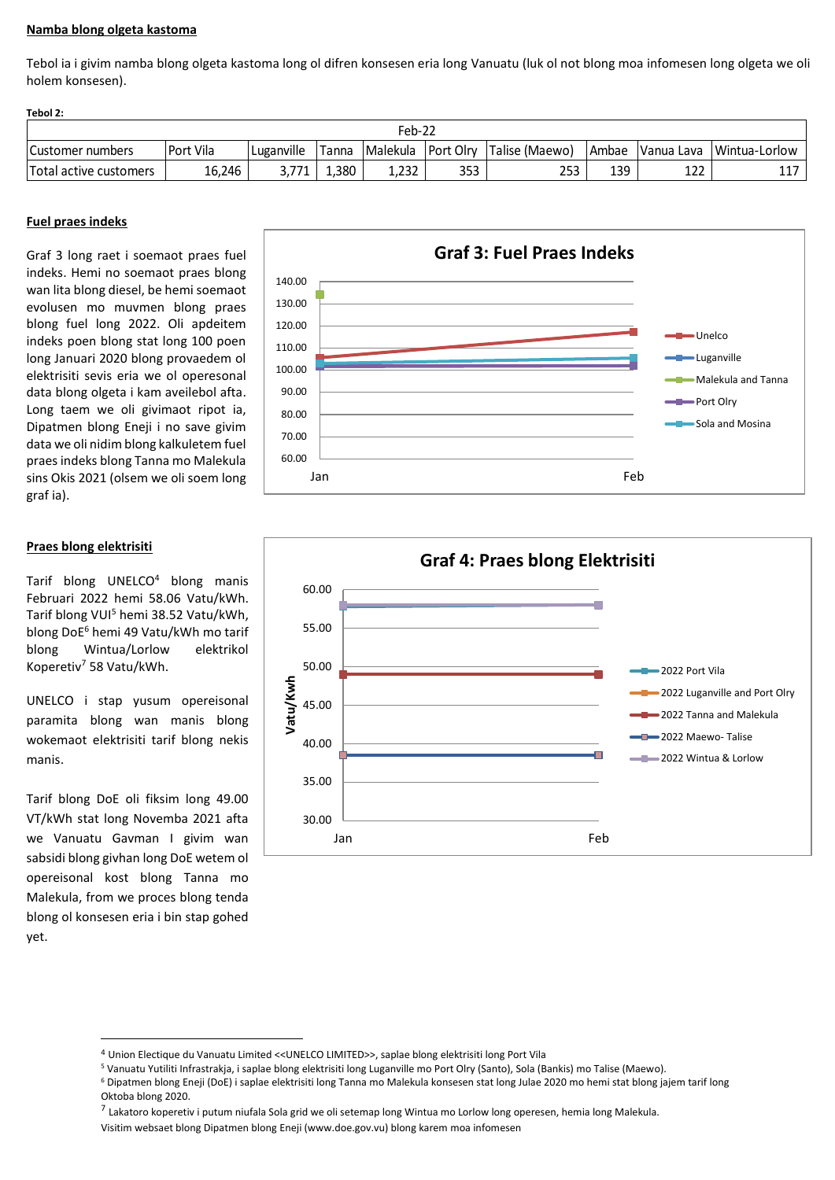## **Namba blong olgeta kastoma**

Tebol ia i givim namba blong olgeta kastoma long ol difren konsesen eria long Vanuatu (luk ol not blong moa infomesen long olgeta we oli holem konsesen).

| Tebol 2:               |           |            |       |          |     |                                 |               |            |               |  |
|------------------------|-----------|------------|-------|----------|-----|---------------------------------|---------------|------------|---------------|--|
| Feb-22                 |           |            |       |          |     |                                 |               |            |               |  |
| Customer numbers       | Port Vila | Luganville | Tanna | Malekula |     | <b>Port Olry Talise (Maewo)</b> | <b>IAmbae</b> | Vanua Lava | Wintua-Lorlow |  |
| Total active customers | 16.246    |            | .380  | 1.232    | 353 | 253                             | 139           | 122        |               |  |

## **Fuel praes indeks**

Graf 3 long raet i soemaot praes fuel indeks. Hemi no soemaot praes blong wan lita blong diesel, be hemi soemaot evolusen mo muvmen blong praes blong fuel long 2022. Oli apdeitem indeks poen blong stat long 100 poen long Januari 2020 blong provaedem ol elektrisiti sevis eria we ol operesonal data blong olgeta i kam aveilebol afta. Long taem we oli givimaot ripot ia, Dipatmen blong Eneji i no save givim data we oli nidim blong kalkuletem fuel praes indeks blong Tanna mo Malekula sins Okis 2021 (olsem we oli soem long graf ia).

## **Praes blong elektrisiti**

Tarif blong UNELCO<sup>4</sup> blong manis Februari 2022 hemi 58.06 Vatu/kWh. Tarif blong VUI<sup>5</sup> hemi 38.52 Vatu/kWh, blong DoE<sup>6</sup> hemi 49 Vatu/kWh mo tarif blong Wintua/Lorlow elektrikol Koperetiv<sup>7</sup> 58 Vatu/kWh.

UNELCO i stap yusum opereisonal paramita blong wan manis blong wokemaot elektrisiti tarif blong nekis manis.

Tarif blong DoE oli fiksim long 49.00 VT/kWh stat long Novemba 2021 afta we Vanuatu Gavman I givim wan sabsidi blong givhan long DoE wetem ol opereisonal kost blong Tanna mo Malekula, from we proces blong tenda blong ol konsesen eria i bin stap gohed yet.





<sup>4</sup> Union Electique du Vanuatu Limited <<UNELCO LIMITED>>, saplae blong elektrisiti long Port Vila

<sup>7</sup> Lakatoro koperetiv i putum niufala Sola grid we oli setemap long Wintua mo Lorlow long operesen, hemia long Malekula.

<sup>5</sup> Vanuatu Yutiliti Infrastrakja, i saplae blong elektrisiti long Luganville mo Port Olry (Santo), Sola (Bankis) mo Talise (Maewo).

<sup>6</sup> Dipatmen blong Eneji (DoE) i saplae elektrisiti long Tanna mo Malekula konsesen stat long Julae 2020 mo hemi stat blong jajem tarif long Oktoba blong 2020.